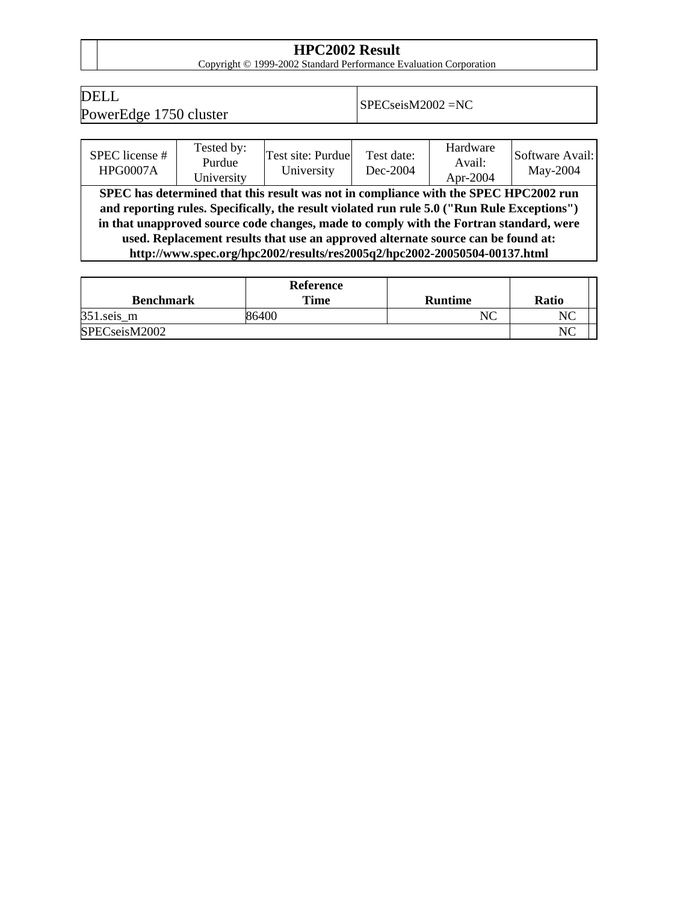**HPC2002 Result**<br>
Copyright © 1999-2002 Standard Performance Evaluation Corporation

## DELL

PELL<br>PowerEdge 1750 cluster SPECseisM2002 = NC

| SPEC license #<br><b>HPG0007A</b>                                                                                                                                                                                                                                                                                                                                                                                                              | Tested by:<br>Purdue<br>University | Test site: Purdue<br>University | Test date:<br>Dec-2004 | Hardware<br>Avail:<br>Apr-2004 | Software Avail:<br>May-2004 |  |  |
|------------------------------------------------------------------------------------------------------------------------------------------------------------------------------------------------------------------------------------------------------------------------------------------------------------------------------------------------------------------------------------------------------------------------------------------------|------------------------------------|---------------------------------|------------------------|--------------------------------|-----------------------------|--|--|
| SPEC has determined that this result was not in compliance with the SPEC HPC2002 run<br>and reporting rules. Specifically, the result violated run rule 5.0 ("Run Rule Exceptions")<br>in that unapproved source code changes, made to comply with the Fortran standard, were<br>used. Replacement results that use an approved alternate source can be found at:<br>http://www.spec.org/hpc2002/results/res2005q2/hpc2002-20050504-00137.html |                                    |                                 |                        |                                |                             |  |  |

|                  | Reference |                |              |
|------------------|-----------|----------------|--------------|
| <b>Benchmark</b> | Time      | <b>Runtime</b> | <b>Ratio</b> |
| $351$ .seis_m    | 36400     |                | $N\subset$   |
| SPECseisM2002    |           |                | NC           |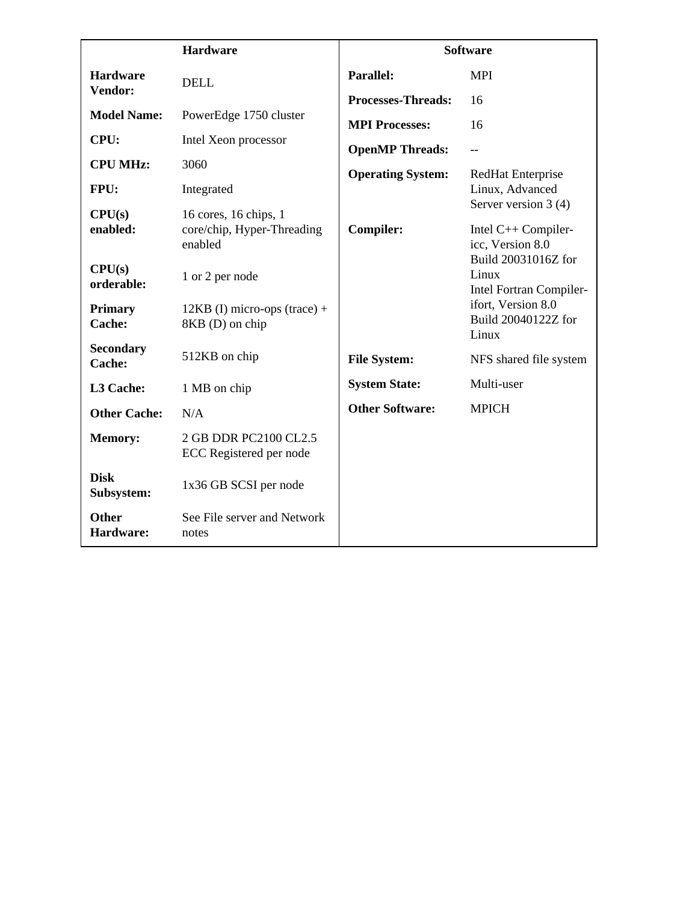|                            | <b>Hardware</b>                                                | <b>Software</b>           |                                                         |
|----------------------------|----------------------------------------------------------------|---------------------------|---------------------------------------------------------|
| <b>Hardware</b>            | <b>DELL</b>                                                    | <b>Parallel:</b>          | <b>MPI</b>                                              |
| Vendor:                    |                                                                | <b>Processes-Threads:</b> | 16                                                      |
| <b>Model Name:</b>         | PowerEdge 1750 cluster                                         | <b>MPI Processes:</b>     | 16                                                      |
| CPU:                       | Intel Xeon processor                                           | <b>OpenMP Threads:</b>    | $-$                                                     |
| <b>CPU MHz:</b>            | 3060                                                           | <b>Operating System:</b>  | RedHat Enterprise                                       |
| FPU:                       | Integrated                                                     |                           | Linux, Advanced<br>Server version 3 (4)                 |
| CPU(s)<br>enabled:         | 16 cores, 16 chips, 1<br>core/chip, Hyper-Threading<br>enabled | <b>Compiler:</b>          | Intel C++ Compiler-<br>icc, Version 8.0                 |
| CPU(s)<br>orderable:       | 1 or 2 per node                                                |                           | Build 20031016Z for<br>Linux<br>Intel Fortran Compiler- |
| <b>Primary</b><br>Cache:   | $12KB$ (I) micro-ops (trace) +<br>8KB (D) on chip              |                           | ifort, Version 8.0<br>Build 20040122Z for<br>Linux      |
| <b>Secondary</b><br>Cache: | 512KB on chip                                                  | <b>File System:</b>       | NFS shared file system                                  |
| L3 Cache:                  | 1 MB on chip                                                   | <b>System State:</b>      | Multi-user                                              |
| <b>Other Cache:</b>        | N/A                                                            | <b>Other Software:</b>    | <b>MPICH</b>                                            |
| <b>Memory:</b>             | 2 GB DDR PC2100 CL2.5<br>ECC Registered per node               |                           |                                                         |
| <b>Disk</b><br>Subsystem:  | 1x36 GB SCSI per node                                          |                           |                                                         |
| <b>Other</b><br>Hardware:  | See File server and Network<br>notes                           |                           |                                                         |